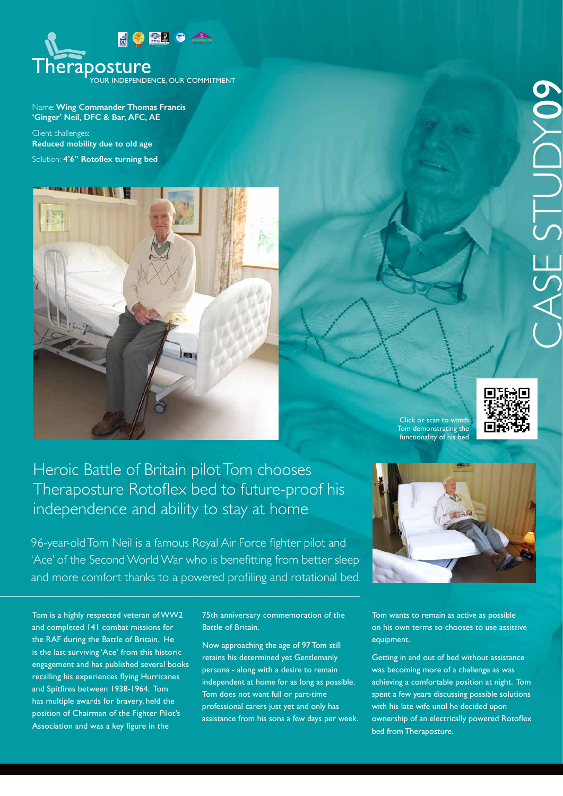

Name: **Wing Commander Thomas Francis 'Ginger' Neil, DFC & Bar, AFC, AE** 

Client challenges: **Reduced mobility due to old age** Solution: **4'6'' Rotoflex turning bed**



Click or scan to watch Tom demonstrating the functionality of his bed



## Heroic Battle of Britain pilot Tom chooses Theraposture Rotoflex bed to future-proof his independence and ability to stay at home

96-year-old Tom Neil is a famous Royal Air Force fighter pilot and 'Ace' of the Second World War who is benefitting from better sleep and more comfort thanks to a powered profiling and rotational bed.



Tom is a highly respected veteran of WW2 and completed 141 combat missions for the RAF during the Battle of Britain. He is the last surviving 'Ace' from this historic engagement and has published several books recalling his experiences flying Hurricanes and Spitfires between 1938-1964. Tom has multiple awards for bravery, held the position of Chairman of the Fighter Pilot's Association and was a key figure in the

75th anniversary commemoration of the Battle of Britain.

Now approaching the age of 97 Tom still retains his determined yet Gentlemanly persona - along with a desire to remain independent at home for as long as possible. Tom does not want full or part-time professional carers just yet and only has assistance from his sons a few days per week. Tom wants to remain as active as possible on his own terms so chooses to use assistive equipment.

Getting in and out of bed without assistance was becoming more of a challenge as was achieving a comfortable position at night. Tom spent a few years discussing possible solutions with his late wife until he decided upon ownership of an electrically powered Rotoflex bed from Theraposture.